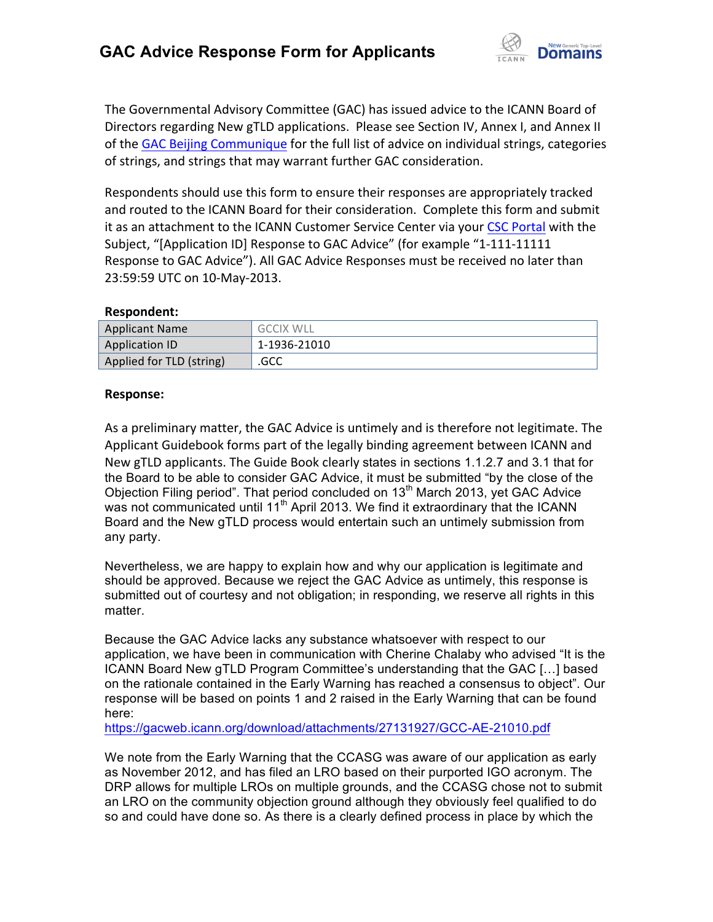

The Governmental Advisory Committee (GAC) has issued advice to the ICANN Board of Directors regarding New gTLD applications. Please see Section IV, Annex I, and Annex II of the GAC Beijing Communique for the full list of advice on individual strings, categories of strings, and strings that may warrant further GAC consideration.

Respondents should use this form to ensure their responses are appropriately tracked and routed to the ICANN Board for their consideration. Complete this form and submit it as an attachment to the ICANN Customer Service Center via your CSC Portal with the Subject, "[Application ID] Response to GAC Advice" (for example "1-111-11111 Response to GAC Advice"). All GAC Advice Responses must be received no later than 23:59:59 UTC on 10-May-2013.

#### **Respondent:**

| <b>Applicant Name</b>    | <b>GCCIX WLL</b> |
|--------------------------|------------------|
| <b>Application ID</b>    | 1-1936-21010     |
| Applied for TLD (string) | .GCC             |

#### **Response:**

As a preliminary matter, the GAC Advice is untimely and is therefore not legitimate. The Applicant Guidebook forms part of the legally binding agreement between ICANN and New gTLD applicants. The Guide Book clearly states in sections 1.1.2.7 and 3.1 that for the Board to be able to consider GAC Advice, it must be submitted "by the close of the Objection Filing period". That period concluded on 13<sup>th</sup> March 2013, yet GAC Advice was not communicated until  $11<sup>th</sup>$  April 2013. We find it extraordinary that the ICANN Board and the New gTLD process would entertain such an untimely submission from any party.

Nevertheless, we are happy to explain how and why our application is legitimate and should be approved. Because we reject the GAC Advice as untimely, this response is submitted out of courtesy and not obligation; in responding, we reserve all rights in this matter.

Because the GAC Advice lacks any substance whatsoever with respect to our application, we have been in communication with Cherine Chalaby who advised "It is the ICANN Board New gTLD Program Committee's understanding that the GAC […] based on the rationale contained in the Early Warning has reached a consensus to object". Our response will be based on points 1 and 2 raised in the Early Warning that can be found here:

https://gacweb.icann.org/download/attachments/27131927/GCC-AE-21010.pdf

We note from the Early Warning that the CCASG was aware of our application as early as November 2012, and has filed an LRO based on their purported IGO acronym. The DRP allows for multiple LROs on multiple grounds, and the CCASG chose not to submit an LRO on the community objection ground although they obviously feel qualified to do so and could have done so. As there is a clearly defined process in place by which the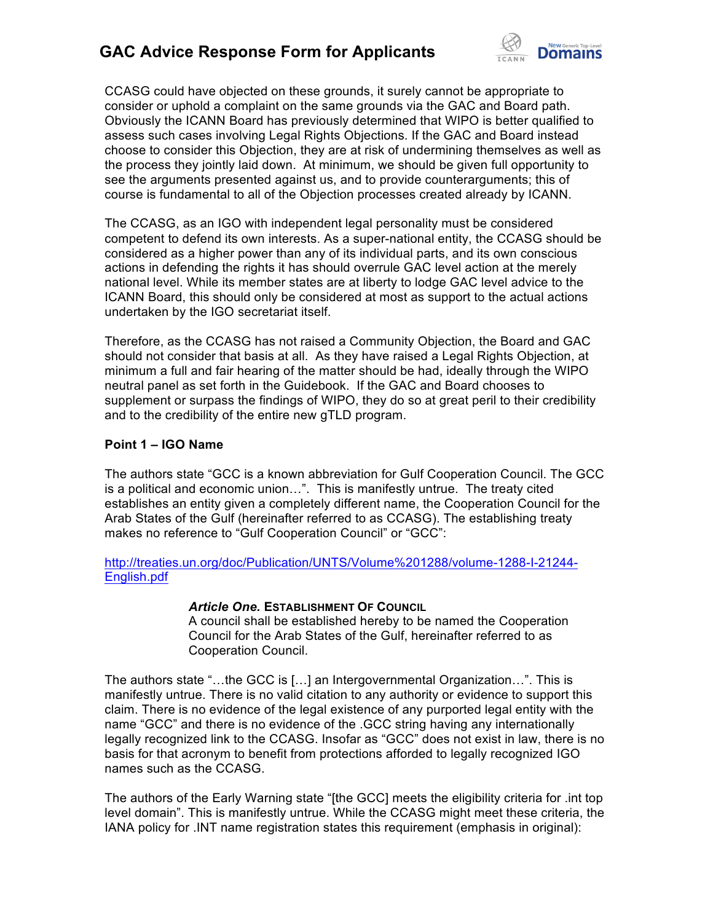

CCASG could have objected on these grounds, it surely cannot be appropriate to consider or uphold a complaint on the same grounds via the GAC and Board path. Obviously the ICANN Board has previously determined that WIPO is better qualified to assess such cases involving Legal Rights Objections. If the GAC and Board instead choose to consider this Objection, they are at risk of undermining themselves as well as the process they jointly laid down. At minimum, we should be given full opportunity to see the arguments presented against us, and to provide counterarguments; this of course is fundamental to all of the Objection processes created already by ICANN.

The CCASG, as an IGO with independent legal personality must be considered competent to defend its own interests. As a super-national entity, the CCASG should be considered as a higher power than any of its individual parts, and its own conscious actions in defending the rights it has should overrule GAC level action at the merely national level. While its member states are at liberty to lodge GAC level advice to the ICANN Board, this should only be considered at most as support to the actual actions undertaken by the IGO secretariat itself.

Therefore, as the CCASG has not raised a Community Objection, the Board and GAC should not consider that basis at all. As they have raised a Legal Rights Objection, at minimum a full and fair hearing of the matter should be had, ideally through the WIPO neutral panel as set forth in the Guidebook. If the GAC and Board chooses to supplement or surpass the findings of WIPO, they do so at great peril to their credibility and to the credibility of the entire new gTLD program.

#### **Point 1 – IGO Name**

The authors state "GCC is a known abbreviation for Gulf Cooperation Council. The GCC is a political and economic union…". This is manifestly untrue. The treaty cited establishes an entity given a completely different name, the Cooperation Council for the Arab States of the Gulf (hereinafter referred to as CCASG). The establishing treaty makes no reference to "Gulf Cooperation Council" or "GCC":

http://treaties.un.org/doc/Publication/UNTS/Volume%201288/volume-1288-I-21244- English.pdf

#### *Article One.* **ESTABLISHMENT OF COUNCIL**

A council shall be established hereby to be named the Cooperation Council for the Arab States of the Gulf, hereinafter referred to as Cooperation Council.

The authors state "…the GCC is […] an Intergovernmental Organization…". This is manifestly untrue. There is no valid citation to any authority or evidence to support this claim. There is no evidence of the legal existence of any purported legal entity with the name "GCC" and there is no evidence of the .GCC string having any internationally legally recognized link to the CCASG. Insofar as "GCC" does not exist in law, there is no basis for that acronym to benefit from protections afforded to legally recognized IGO names such as the CCASG.

The authors of the Early Warning state "[the GCC] meets the eligibility criteria for .int top level domain". This is manifestly untrue. While the CCASG might meet these criteria, the IANA policy for .INT name registration states this requirement (emphasis in original):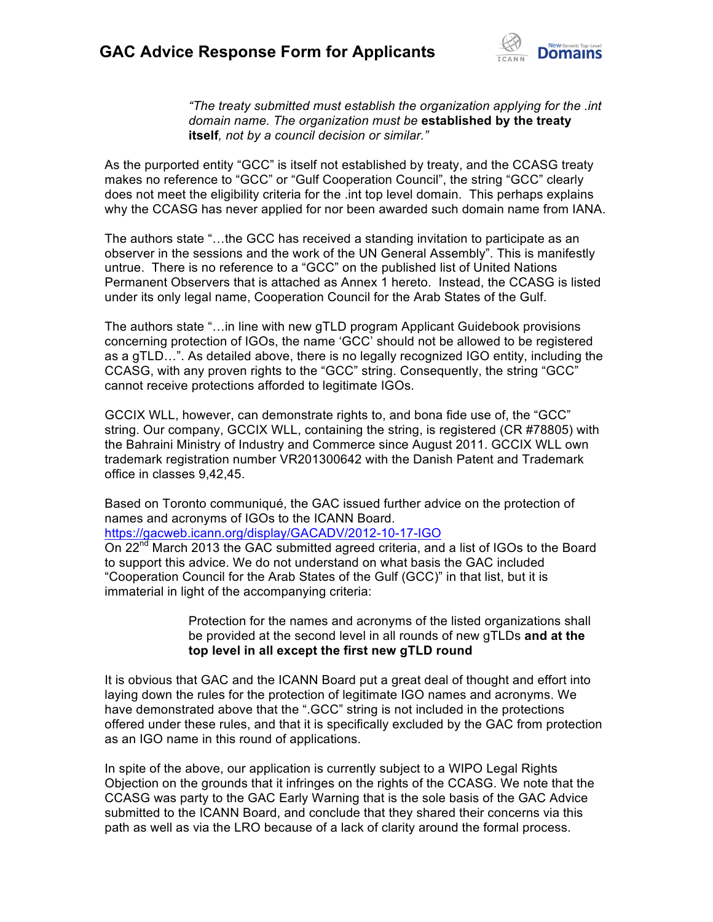

*"The treaty submitted must establish the organization applying for the .int domain name. The organization must be* **established by the treaty itself***, not by a council decision or similar."*

As the purported entity "GCC" is itself not established by treaty, and the CCASG treaty makes no reference to "GCC" or "Gulf Cooperation Council", the string "GCC" clearly does not meet the eligibility criteria for the .int top level domain. This perhaps explains why the CCASG has never applied for nor been awarded such domain name from IANA.

The authors state "…the GCC has received a standing invitation to participate as an observer in the sessions and the work of the UN General Assembly". This is manifestly untrue. There is no reference to a "GCC" on the published list of United Nations Permanent Observers that is attached as Annex 1 hereto. Instead, the CCASG is listed under its only legal name, Cooperation Council for the Arab States of the Gulf.

The authors state "…in line with new gTLD program Applicant Guidebook provisions concerning protection of IGOs, the name 'GCC' should not be allowed to be registered as a gTLD…". As detailed above, there is no legally recognized IGO entity, including the CCASG, with any proven rights to the "GCC" string. Consequently, the string "GCC" cannot receive protections afforded to legitimate IGOs.

GCCIX WLL, however, can demonstrate rights to, and bona fide use of, the "GCC" string. Our company, GCCIX WLL, containing the string, is registered (CR #78805) with the Bahraini Ministry of Industry and Commerce since August 2011. GCCIX WLL own trademark registration number VR201300642 with the Danish Patent and Trademark office in classes 9,42,45.

Based on Toronto communiqué, the GAC issued further advice on the protection of names and acronyms of IGOs to the ICANN Board.

https://gacweb.icann.org/display/GACADV/2012-10-17-IGO

On 22<sup>nd</sup> March 2013 the GAC submitted agreed criteria, and a list of IGOs to the Board to support this advice. We do not understand on what basis the GAC included "Cooperation Council for the Arab States of the Gulf (GCC)" in that list, but it is immaterial in light of the accompanying criteria:

> Protection for the names and acronyms of the listed organizations shall be provided at the second level in all rounds of new gTLDs **and at the top level in all except the first new gTLD round**

It is obvious that GAC and the ICANN Board put a great deal of thought and effort into laying down the rules for the protection of legitimate IGO names and acronyms. We have demonstrated above that the ".GCC" string is not included in the protections offered under these rules, and that it is specifically excluded by the GAC from protection as an IGO name in this round of applications.

In spite of the above, our application is currently subject to a WIPO Legal Rights Objection on the grounds that it infringes on the rights of the CCASG. We note that the CCASG was party to the GAC Early Warning that is the sole basis of the GAC Advice submitted to the ICANN Board, and conclude that they shared their concerns via this path as well as via the LRO because of a lack of clarity around the formal process.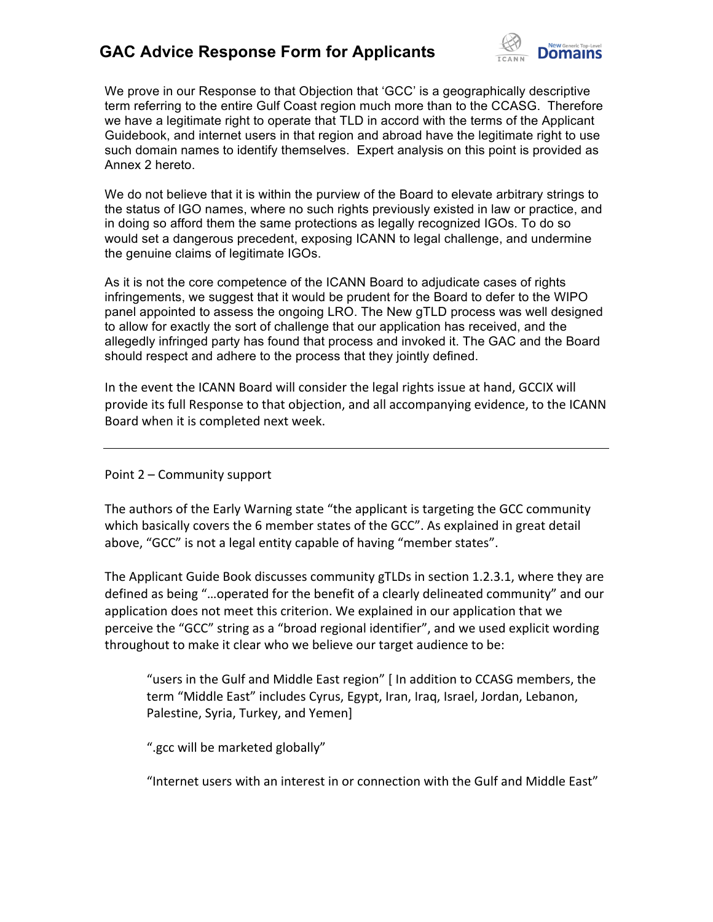

We prove in our Response to that Objection that 'GCC' is a geographically descriptive term referring to the entire Gulf Coast region much more than to the CCASG. Therefore we have a legitimate right to operate that TLD in accord with the terms of the Applicant Guidebook, and internet users in that region and abroad have the legitimate right to use such domain names to identify themselves. Expert analysis on this point is provided as Annex 2 hereto.

We do not believe that it is within the purview of the Board to elevate arbitrary strings to the status of IGO names, where no such rights previously existed in law or practice, and in doing so afford them the same protections as legally recognized IGOs. To do so would set a dangerous precedent, exposing ICANN to legal challenge, and undermine the genuine claims of legitimate IGOs.

As it is not the core competence of the ICANN Board to adjudicate cases of rights infringements, we suggest that it would be prudent for the Board to defer to the WIPO panel appointed to assess the ongoing LRO. The New gTLD process was well designed to allow for exactly the sort of challenge that our application has received, and the allegedly infringed party has found that process and invoked it. The GAC and the Board should respect and adhere to the process that they jointly defined.

In the event the ICANN Board will consider the legal rights issue at hand, GCCIX will provide its full Response to that objection, and all accompanying evidence, to the ICANN Board when it is completed next week.

Point 2 – Community support

The authors of the Early Warning state "the applicant is targeting the GCC community which basically covers the 6 member states of the GCC". As explained in great detail above, "GCC" is not a legal entity capable of having "member states".

The Applicant Guide Book discusses community gTLDs in section 1.2.3.1, where they are defined as being "...operated for the benefit of a clearly delineated community" and our application does not meet this criterion. We explained in our application that we perceive the "GCC" string as a "broad regional identifier", and we used explicit wording throughout to make it clear who we believe our target audience to be:

"users in the Gulf and Middle East region" | In addition to CCASG members, the term "Middle East" includes Cyrus, Egypt, Iran, Iraq, Israel, Jordan, Lebanon, Palestine, Syria, Turkey, and Yemen]

".gcc will be marketed globally"

"Internet users with an interest in or connection with the Gulf and Middle East"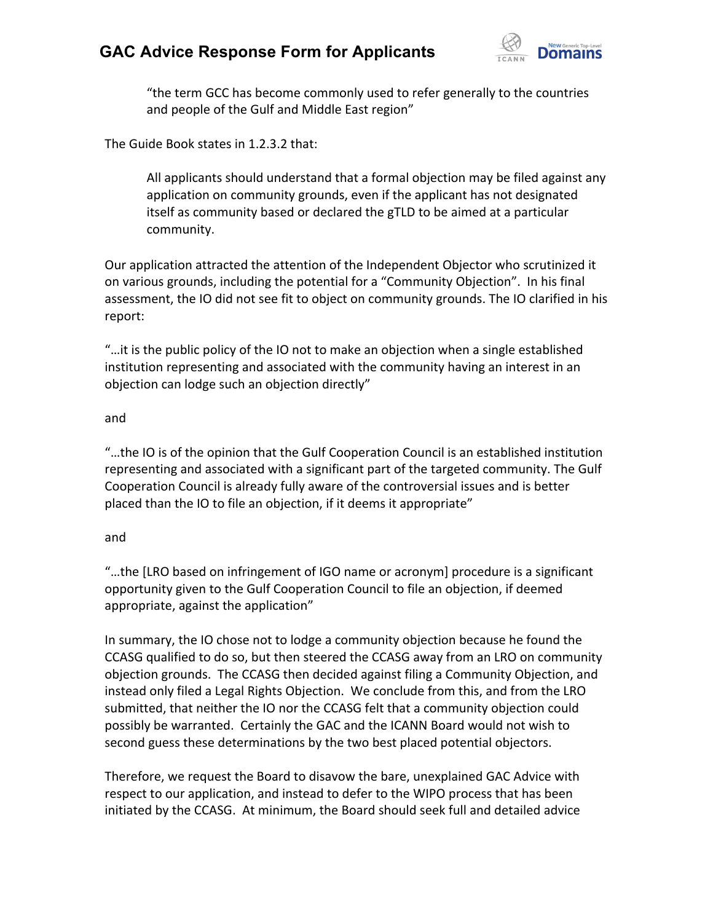

"the term GCC has become commonly used to refer generally to the countries and people of the Gulf and Middle East region"

The Guide Book states in 1.2.3.2 that:

All applicants should understand that a formal objection may be filed against any application on community grounds, even if the applicant has not designated itself as community based or declared the gTLD to be aimed at a particular community.

Our application attracted the attention of the Independent Objector who scrutinized it on various grounds, including the potential for a "Community Objection". In his final assessment, the IO did not see fit to object on community grounds. The IO clarified in his report:

"...it is the public policy of the IO not to make an objection when a single established institution representing and associated with the community having an interest in an objection can lodge such an objection directly"

#### and

"...the IO is of the opinion that the Gulf Cooperation Council is an established institution representing and associated with a significant part of the targeted community. The Gulf Cooperation Council is already fully aware of the controversial issues and is better placed than the IO to file an objection, if it deems it appropriate"

#### and

"...the [LRO based on infringement of IGO name or acronym] procedure is a significant opportunity given to the Gulf Cooperation Council to file an objection, if deemed appropriate, against the application"

In summary, the IO chose not to lodge a community objection because he found the CCASG qualified to do so, but then steered the CCASG away from an LRO on community objection grounds. The CCASG then decided against filing a Community Objection, and instead only filed a Legal Rights Objection. We conclude from this, and from the LRO submitted, that neither the IO nor the CCASG felt that a community objection could possibly be warranted. Certainly the GAC and the ICANN Board would not wish to second guess these determinations by the two best placed potential objectors.

Therefore, we request the Board to disavow the bare, unexplained GAC Advice with respect to our application, and instead to defer to the WIPO process that has been initiated by the CCASG. At minimum, the Board should seek full and detailed advice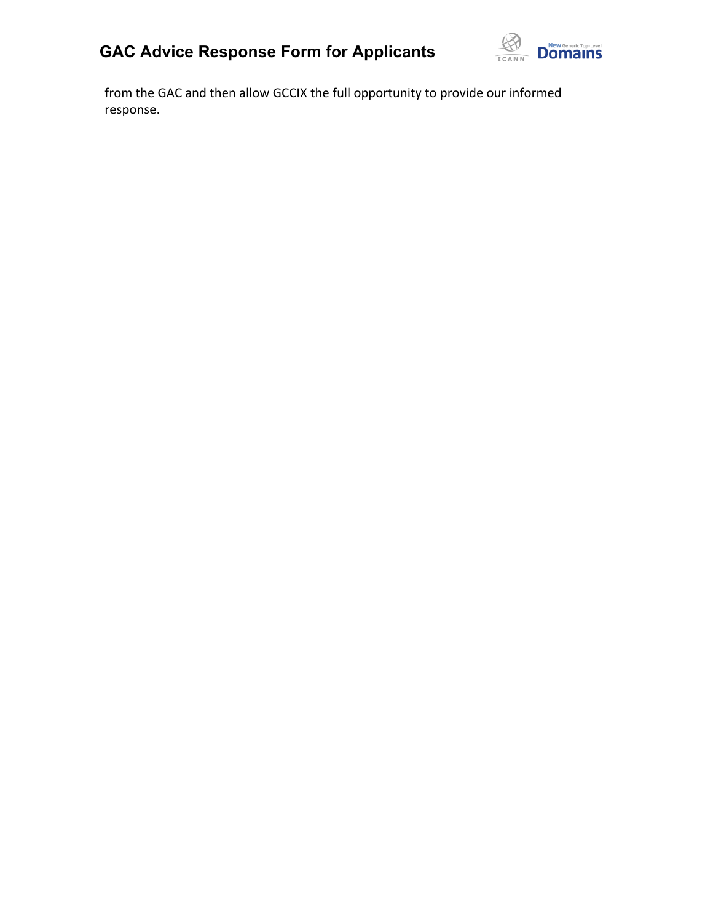

from the GAC and then allow GCCIX the full opportunity to provide our informed response.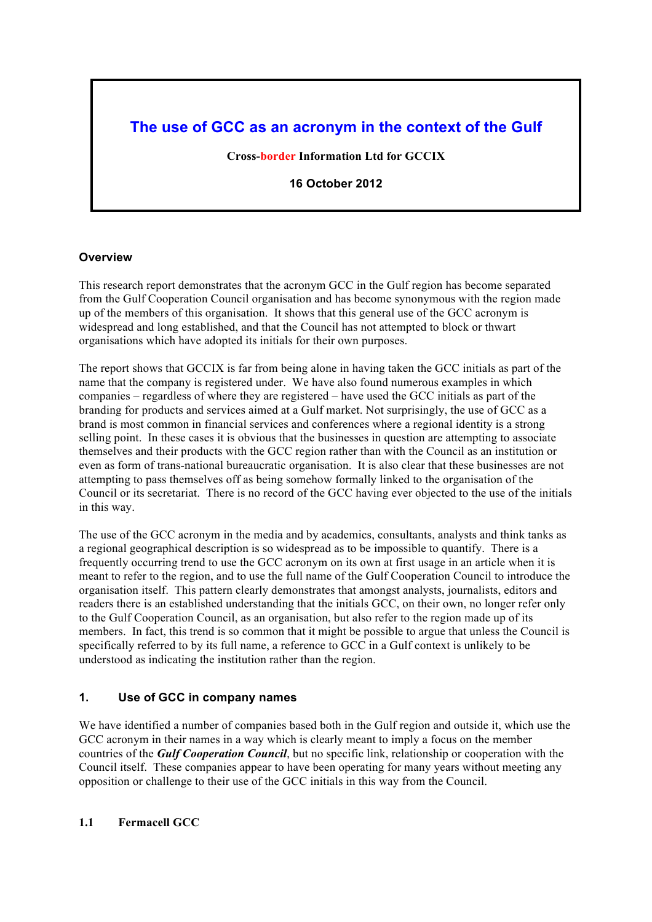# **The use of GCC as an acronym in the context of the Gulf**

**Cross-border Information Ltd for GCCIX**

**16 October 2012**

#### **Overview**

This research report demonstrates that the acronym GCC in the Gulf region has become separated from the Gulf Cooperation Council organisation and has become synonymous with the region made up of the members of this organisation. It shows that this general use of the GCC acronym is widespread and long established, and that the Council has not attempted to block or thwart organisations which have adopted its initials for their own purposes.

The report shows that GCCIX is far from being alone in having taken the GCC initials as part of the name that the company is registered under. We have also found numerous examples in which companies – regardless of where they are registered – have used the GCC initials as part of the branding for products and services aimed at a Gulf market. Not surprisingly, the use of GCC as a brand is most common in financial services and conferences where a regional identity is a strong selling point. In these cases it is obvious that the businesses in question are attempting to associate themselves and their products with the GCC region rather than with the Council as an institution or even as form of trans-national bureaucratic organisation. It is also clear that these businesses are not attempting to pass themselves off as being somehow formally linked to the organisation of the Council or its secretariat. There is no record of the GCC having ever objected to the use of the initials in this way.

The use of the GCC acronym in the media and by academics, consultants, analysts and think tanks as a regional geographical description is so widespread as to be impossible to quantify. There is a frequently occurring trend to use the GCC acronym on its own at first usage in an article when it is meant to refer to the region, and to use the full name of the Gulf Cooperation Council to introduce the organisation itself. This pattern clearly demonstrates that amongst analysts, journalists, editors and readers there is an established understanding that the initials GCC, on their own, no longer refer only to the Gulf Cooperation Council, as an organisation, but also refer to the region made up of its members. In fact, this trend is so common that it might be possible to argue that unless the Council is specifically referred to by its full name, a reference to GCC in a Gulf context is unlikely to be understood as indicating the institution rather than the region.

#### **1. Use of GCC in company names**

We have identified a number of companies based both in the Gulf region and outside it, which use the GCC acronym in their names in a way which is clearly meant to imply a focus on the member countries of the *Gulf Cooperation Council*, but no specific link, relationship or cooperation with the Council itself. These companies appear to have been operating for many years without meeting any opposition or challenge to their use of the GCC initials in this way from the Council.

#### **1.1 Fermacell GCC**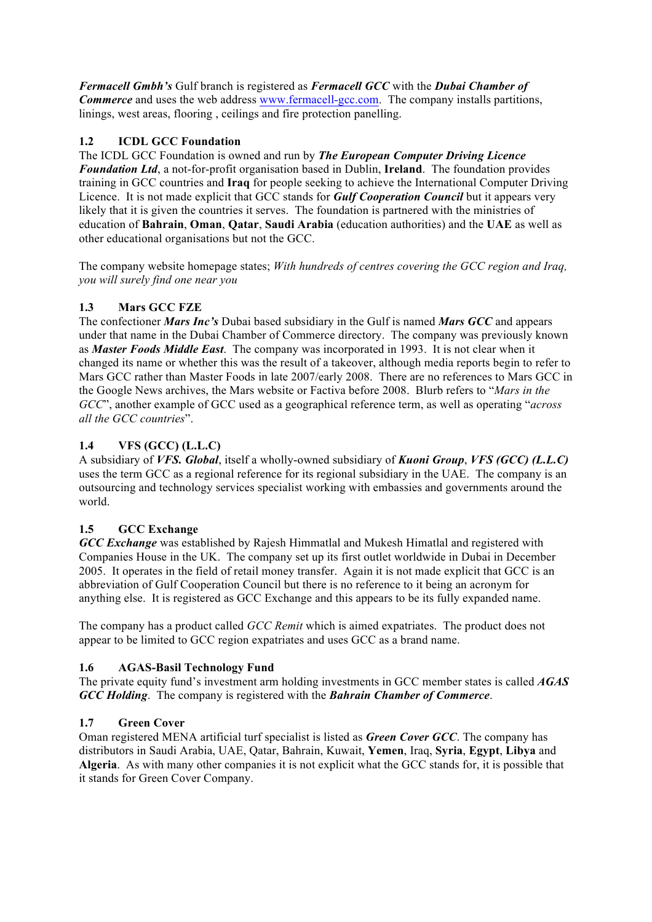*Fermacell Gmbh's* Gulf branch is registered as *Fermacell GCC* with the *Dubai Chamber of Commerce* and uses the web address www.fermacell-gcc.com. The company installs partitions, linings, west areas, flooring , ceilings and fire protection panelling.

## **1.2 ICDL GCC Foundation**

The ICDL GCC Foundation is owned and run by *The European Computer Driving Licence Foundation Ltd*, a not-for-profit organisation based in Dublin, **Ireland**. The foundation provides training in GCC countries and **Iraq** for people seeking to achieve the International Computer Driving Licence. It is not made explicit that GCC stands for *Gulf Cooperation Council* but it appears very likely that it is given the countries it serves. The foundation is partnered with the ministries of education of **Bahrain**, **Oman**, **Qatar**, **Saudi Arabia** (education authorities) and the **UAE** as well as other educational organisations but not the GCC.

The company website homepage states; *With hundreds of centres covering the GCC region and Iraq, you will surely find one near you*

## **1.3 Mars GCC FZE**

The confectioner *Mars Inc's* Dubai based subsidiary in the Gulf is named *Mars GCC* and appears under that name in the Dubai Chamber of Commerce directory. The company was previously known as *Master Foods Middle East*. The company was incorporated in 1993. It is not clear when it changed its name or whether this was the result of a takeover, although media reports begin to refer to Mars GCC rather than Master Foods in late 2007/early 2008. There are no references to Mars GCC in the Google News archives, the Mars website or Factiva before 2008. Blurb refers to "*Mars in the GCC*", another example of GCC used as a geographical reference term, as well as operating "*across all the GCC countries*".

## **1.4 VFS (GCC) (L.L.C)**

A subsidiary of *VFS. Global*, itself a wholly-owned subsidiary of *Kuoni Group*, *VFS (GCC) (L.L.C)* uses the term GCC as a regional reference for its regional subsidiary in the UAE. The company is an outsourcing and technology services specialist working with embassies and governments around the world.

# **1.5 GCC Exchange**

*GCC Exchange* was established by Rajesh Himmatlal and Mukesh Himatlal and registered with Companies House in the UK. The company set up its first outlet worldwide in Dubai in December 2005. It operates in the field of retail money transfer. Again it is not made explicit that GCC is an abbreviation of Gulf Cooperation Council but there is no reference to it being an acronym for anything else. It is registered as GCC Exchange and this appears to be its fully expanded name.

The company has a product called *GCC Remit* which is aimed expatriates. The product does not appear to be limited to GCC region expatriates and uses GCC as a brand name.

#### **1.6 AGAS-Basil Technology Fund**

The private equity fund's investment arm holding investments in GCC member states is called *AGAS GCC Holding*. The company is registered with the *Bahrain Chamber of Commerce*.

#### **1.7 Green Cover**

Oman registered MENA artificial turf specialist is listed as *Green Cover GCC*. The company has distributors in Saudi Arabia, UAE, Qatar, Bahrain, Kuwait, **Yemen**, Iraq, **Syria**, **Egypt**, **Libya** and **Algeria**. As with many other companies it is not explicit what the GCC stands for, it is possible that it stands for Green Cover Company.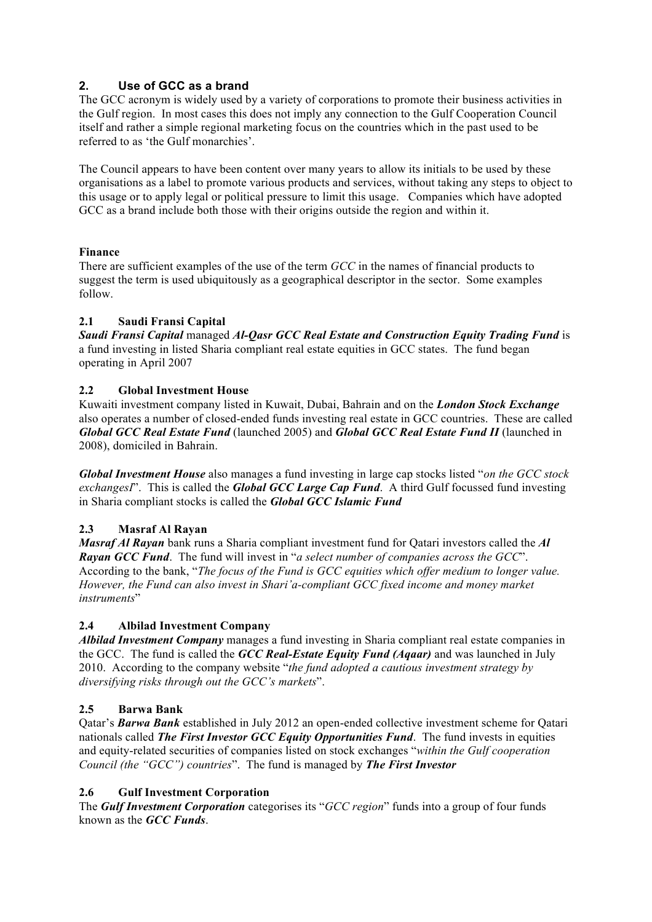# **2. Use of GCC as a brand**

The GCC acronym is widely used by a variety of corporations to promote their business activities in the Gulf region. In most cases this does not imply any connection to the Gulf Cooperation Council itself and rather a simple regional marketing focus on the countries which in the past used to be referred to as 'the Gulf monarchies'.

The Council appears to have been content over many years to allow its initials to be used by these organisations as a label to promote various products and services, without taking any steps to object to this usage or to apply legal or political pressure to limit this usage. Companies which have adopted GCC as a brand include both those with their origins outside the region and within it.

#### **Finance**

There are sufficient examples of the use of the term *GCC* in the names of financial products to suggest the term is used ubiquitously as a geographical descriptor in the sector. Some examples follow.

## **2.1 Saudi Fransi Capital**

*Saudi Fransi Capital* managed *Al-Qasr GCC Real Estate and Construction Equity Trading Fund* is a fund investing in listed Sharia compliant real estate equities in GCC states. The fund began operating in April 2007

## **2.2 Global Investment House**

Kuwaiti investment company listed in Kuwait, Dubai, Bahrain and on the *London Stock Exchange* also operates a number of closed-ended funds investing real estate in GCC countries. These are called *Global GCC Real Estate Fund* (launched 2005) and *Global GCC Real Estate Fund II* (launched in 2008), domiciled in Bahrain.

*Global Investment House* also manages a fund investing in large cap stocks listed "*on the GCC stock exchangesI*". This is called the *Global GCC Large Cap Fund*. A third Gulf focussed fund investing in Sharia compliant stocks is called the *Global GCC Islamic Fund*

# **2.3 Masraf Al Rayan**

*Masraf Al Rayan* bank runs a Sharia compliant investment fund for Qatari investors called the *Al Rayan GCC Fund*. The fund will invest in "*a select number of companies across the GCC*". According to the bank, "*The focus of the Fund is GCC equities which offer medium to longer value. However, the Fund can also invest in Shari'a-compliant GCC fixed income and money market instruments*"

#### **2.4 Albilad Investment Company**

*Albilad Investment Company* manages a fund investing in Sharia compliant real estate companies in the GCC. The fund is called the *GCC Real-Estate Equity Fund (Aqaar)* and was launched in July 2010. According to the company website "*the fund adopted a cautious investment strategy by diversifying risks through out the GCC's markets*".

#### **2.5 Barwa Bank**

Qatar's *Barwa Bank* established in July 2012 an open-ended collective investment scheme for Qatari nationals called *The First Investor GCC Equity Opportunities Fund*. The fund invests in equities and equity-related securities of companies listed on stock exchanges "*within the Gulf cooperation Council (the "GCC") countries*". The fund is managed by *The First Investor*

# **2.6 Gulf Investment Corporation**

The *Gulf Investment Corporation* categorises its "*GCC region*" funds into a group of four funds known as the *GCC Funds*.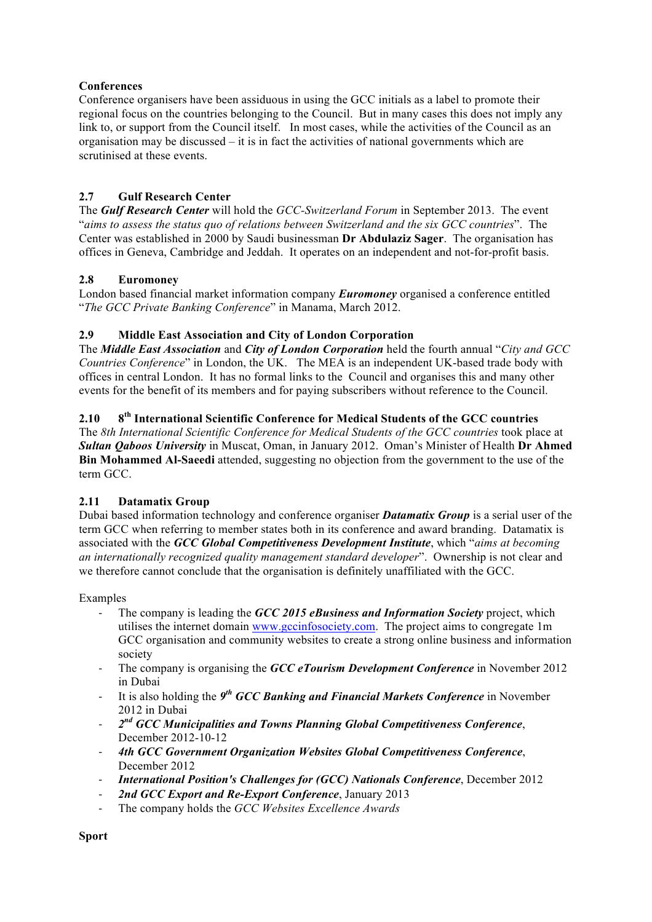#### **Conferences**

Conference organisers have been assiduous in using the GCC initials as a label to promote their regional focus on the countries belonging to the Council. But in many cases this does not imply any link to, or support from the Council itself. In most cases, while the activities of the Council as an organisation may be discussed  $-$  it is in fact the activities of national governments which are scrutinised at these events.

# **2.7 Gulf Research Center**

The *Gulf Research Center* will hold the *GCC-Switzerland Forum* in September 2013. The event "*aims to assess the status quo of relations between Switzerland and the six GCC countries*". The Center was established in 2000 by Saudi businessman **Dr Abdulaziz Sager**. The organisation has offices in Geneva, Cambridge and Jeddah. It operates on an independent and not-for-profit basis.

## **2.8 Euromoney**

London based financial market information company *Euromoney* organised a conference entitled "*The GCC Private Banking Conference*" in Manama, March 2012.

## **2.9 Middle East Association and City of London Corporation**

The *Middle East Association* and *City of London Corporation* held the fourth annual "*City and GCC Countries Conference*" in London, the UK. The MEA is an independent UK-based trade body with offices in central London. It has no formal links to the Council and organises this and many other events for the benefit of its members and for paying subscribers without reference to the Council.

## **2.10 8th International Scientific Conference for Medical Students of the GCC countries**

The *8th International Scientific Conference for Medical Students of the GCC countries* took place at *Sultan Qaboos University* in Muscat, Oman, in January 2012. Oman's Minister of Health **Dr Ahmed Bin Mohammed Al-Saeedi** attended, suggesting no objection from the government to the use of the term GCC.

# **2.11 Datamatix Group**

Dubai based information technology and conference organiser *Datamatix Group* is a serial user of the term GCC when referring to member states both in its conference and award branding. Datamatix is associated with the *GCC Global Competitiveness Development Institute*, which "*aims at becoming an internationally recognized quality management standard developer*". Ownership is not clear and we therefore cannot conclude that the organisation is definitely unaffiliated with the GCC.

#### Examples

- The company is leading the *GCC 2015 eBusiness and Information Society* project, which utilises the internet domain www.gccinfosociety.com. The project aims to congregate 1m GCC organisation and community websites to create a strong online business and information society
- The company is organising the *GCC eTourism Development Conference* in November 2012 in Dubai
- It is also holding the *9th GCC Banking and Financial Markets Conference* in November 2012 in Dubai
- *2nd GCC Municipalities and Towns Planning Global Competitiveness Conference*, December 2012-10-12
- *4th GCC Government Organization Websites Global Competitiveness Conference*, December 2012
- *International Position's Challenges for (GCC) Nationals Conference*, December 2012
- 2nd GCC Export and Re-Export Conference, January 2013
- The company holds the *GCC Websites Excellence Awards*

**Sport**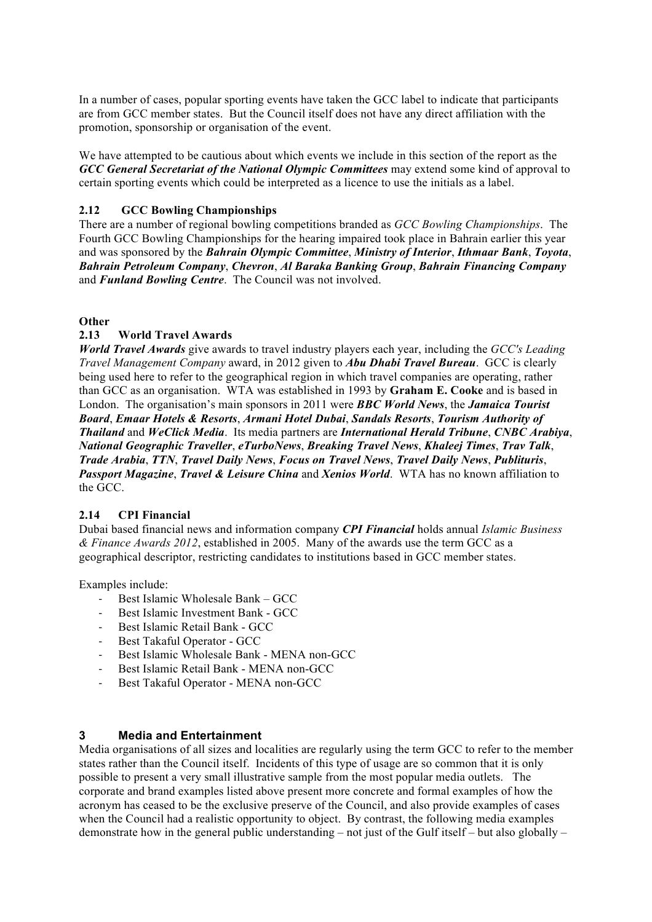In a number of cases, popular sporting events have taken the GCC label to indicate that participants are from GCC member states. But the Council itself does not have any direct affiliation with the promotion, sponsorship or organisation of the event.

We have attempted to be cautious about which events we include in this section of the report as the *GCC General Secretariat of the National Olympic Committees* may extend some kind of approval to certain sporting events which could be interpreted as a licence to use the initials as a label.

#### **2.12 GCC Bowling Championships**

There are a number of regional bowling competitions branded as *GCC Bowling Championships*. The Fourth GCC Bowling Championships for the hearing impaired took place in Bahrain earlier this year and was sponsored by the *Bahrain Olympic Committee*, *Ministry of Interior*, *Ithmaar Bank*, *Toyota*, *Bahrain Petroleum Company*, *Chevron*, *Al Baraka Banking Group*, *Bahrain Financing Company* and *Funland Bowling Centre*. The Council was not involved.

#### **Other**

#### **2.13 World Travel Awards**

*World Travel Awards* give awards to travel industry players each year, including the *GCC's Leading Travel Management Company* award, in 2012 given to *Abu Dhabi Travel Bureau*. GCC is clearly being used here to refer to the geographical region in which travel companies are operating, rather than GCC as an organisation. WTA was established in 1993 by **Graham E. Cooke** and is based in London. The organisation's main sponsors in 2011 were *BBC World News*, the *Jamaica Tourist Board*, *Emaar Hotels & Resorts*, *Armani Hotel Dubai*, *Sandals Resorts*, *Tourism Authority of Thailand* and *WeClick Media*. Its media partners are *International Herald Tribune*, *CNBC Arabiya*, *National Geographic Traveller*, *eTurboNews*, *Breaking Travel News*, *Khaleej Times*, *Trav Talk*, *Trade Arabia*, *TTN*, *Travel Daily News*, *Focus on Travel News*, *Travel Daily News*, *Publituris*, *Passport Magazine*, *Travel & Leisure China* and *Xenios World*. WTA has no known affiliation to the GCC.

#### **2.14 CPI Financial**

Dubai based financial news and information company *CPI Financial* holds annual *Islamic Business & Finance Awards 2012*, established in 2005. Many of the awards use the term GCC as a geographical descriptor, restricting candidates to institutions based in GCC member states.

Examples include:

- Best Islamic Wholesale Bank GCC
- Best Islamic Investment Bank GCC
- Best Islamic Retail Bank GCC
- Best Takaful Operator GCC
- Best Islamic Wholesale Bank MENA non-GCC
- Best Islamic Retail Bank MENA non-GCC
- Best Takaful Operator MENA non-GCC

#### **3 Media and Entertainment**

Media organisations of all sizes and localities are regularly using the term GCC to refer to the member states rather than the Council itself. Incidents of this type of usage are so common that it is only possible to present a very small illustrative sample from the most popular media outlets. The corporate and brand examples listed above present more concrete and formal examples of how the acronym has ceased to be the exclusive preserve of the Council, and also provide examples of cases when the Council had a realistic opportunity to object. By contrast, the following media examples demonstrate how in the general public understanding – not just of the Gulf itself – but also globally –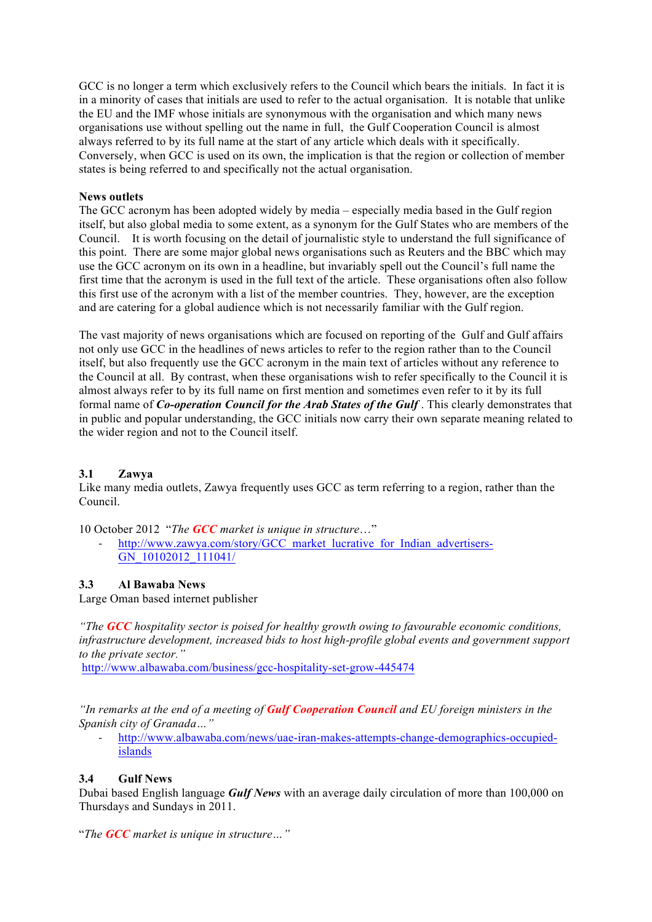GCC is no longer a term which exclusively refers to the Council which bears the initials. In fact it is in a minority of cases that initials are used to refer to the actual organisation. It is notable that unlike the EU and the IMF whose initials are synonymous with the organisation and which many news organisations use without spelling out the name in full, the Gulf Cooperation Council is almost always referred to by its full name at the start of any article which deals with it specifically. Conversely, when GCC is used on its own, the implication is that the region or collection of member states is being referred to and specifically not the actual organisation.

#### **News outlets**

The GCC acronym has been adopted widely by media – especially media based in the Gulf region itself, but also global media to some extent, as a synonym for the Gulf States who are members of the Council. It is worth focusing on the detail of journalistic style to understand the full significance of this point. There are some major global news organisations such as Reuters and the BBC which may use the GCC acronym on its own in a headline, but invariably spell out the Council's full name the first time that the acronym is used in the full text of the article. These organisations often also follow this first use of the acronym with a list of the member countries. They, however, are the exception and are catering for a global audience which is not necessarily familiar with the Gulf region.

The vast majority of news organisations which are focused on reporting of the Gulf and Gulf affairs not only use GCC in the headlines of news articles to refer to the region rather than to the Council itself, but also frequently use the GCC acronym in the main text of articles without any reference to the Council at all. By contrast, when these organisations wish to refer specifically to the Council it is almost always refer to by its full name on first mention and sometimes even refer to it by its full formal name of *Co-operation Council for the Arab States of the Gulf* . This clearly demonstrates that in public and popular understanding, the GCC initials now carry their own separate meaning related to the wider region and not to the Council itself.

#### **3.1 Zawya**

Like many media outlets, Zawya frequently uses GCC as term referring to a region, rather than the Council.

10 October 2012 "*The GCC market is unique in structure*…"

http://www.zawya.com/story/GCC\_market\_lucrative\_for\_Indian\_advertisers-GN\_10102012\_111041/

#### **3.3 Al Bawaba News**

Large Oman based internet publisher

*"The GCC hospitality sector is poised for healthy growth owing to favourable economic conditions, infrastructure development, increased bids to host high-profile global events and government support to the private sector."*

http://www.albawaba.com/business/gcc-hospitality-set-grow-445474

*"In remarks at the end of a meeting of Gulf Cooperation Council and EU foreign ministers in the Spanish city of Granada…"*

- http://www.albawaba.com/news/uae-iran-makes-attempts-change-demographics-occupiedislands

#### **3.4 Gulf News**

Dubai based English language *Gulf News* with an average daily circulation of more than 100,000 on Thursdays and Sundays in 2011.

"*The GCC market is unique in structure…"*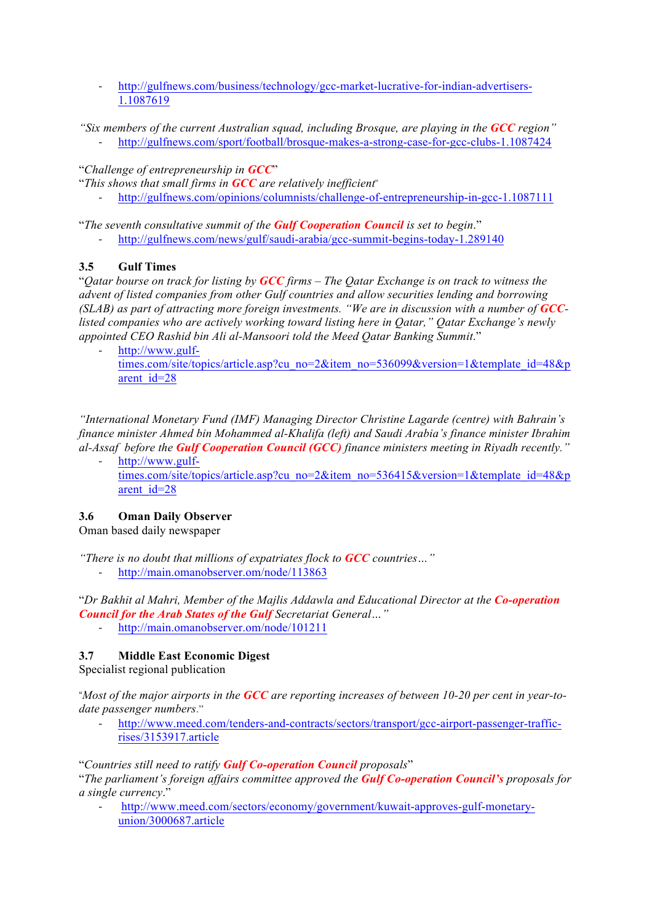http://gulfnews.com/business/technology/gcc-market-lucrative-for-indian-advertisers-1.1087619

*"Six members of the current Australian squad, including Brosque, are playing in the GCC region"*

- http://gulfnews.com/sport/football/brosque-makes-a-strong-case-for-gcc-clubs-1.1087424

"*Challenge of entrepreneurship in GCC*"

- "*This shows that small firms in GCC are relatively inefficient*"
	- http://gulfnews.com/opinions/columnists/challenge-of-entrepreneurship-in-gcc-1.1087111

"*The seventh consultative summit of the Gulf Cooperation Council is set to begin*."

- http://gulfnews.com/news/gulf/saudi-arabia/gcc-summit-begins-today-1.289140

## **3.5 Gulf Times**

"*Qatar bourse on track for listing by GCC firms – The Qatar Exchange is on track to witness the advent of listed companies from other Gulf countries and allow securities lending and borrowing (SLAB)* as part of attracting more foreign investments. "We are in discussion with a number of **GCC***listed companies who are actively working toward listing here in Qatar," Qatar Exchange's newly appointed CEO Rashid bin Ali al-Mansoori told the Meed Qatar Banking Summit*."

- http://www.gulftimes.com/site/topics/article.asp?cu\_no=2&item\_no=536099&version=1&template\_id=48&p arent id=28

*"International Monetary Fund (IMF) Managing Director Christine Lagarde (centre) with Bahrain's finance minister Ahmed bin Mohammed al-Khalifa (left) and Saudi Arabia's finance minister Ibrahim al-Assaf before the Gulf Cooperation Council (GCC) finance ministers meeting in Riyadh recently."*

http://www.gulftimes.com/site/topics/article.asp?cu\_no=2&item\_no=536415&version=1&template\_id=48&p arent id=28

# **3.6 Oman Daily Observer**

Oman based daily newspaper

*"There is no doubt that millions of expatriates flock to GCC countries…"* http://main.omanobserver.om/node/113863

"*Dr Bakhit al Mahri, Member of the Majlis Addawla and Educational Director at the Co-operation Council for the Arab States of the Gulf Secretariat General…"*

- http://main.omanobserver.om/node/101211

# **3.7 Middle East Economic Digest**

Specialist regional publication

"*Most of the major airports in the GCC are reporting increases of between 10-20 per cent in year-todate passenger numbers*."

- http://www.meed.com/tenders-and-contracts/sectors/transport/gcc-airport-passenger-trafficrises/3153917.article

"*Countries still need to ratify Gulf Co-operation Council proposals*"

"*The parliament's foreign affairs committee approved the Gulf Co-operation Council's proposals for a single currency*."

- http://www.meed.com/sectors/economy/government/kuwait-approves-gulf-monetaryunion/3000687.article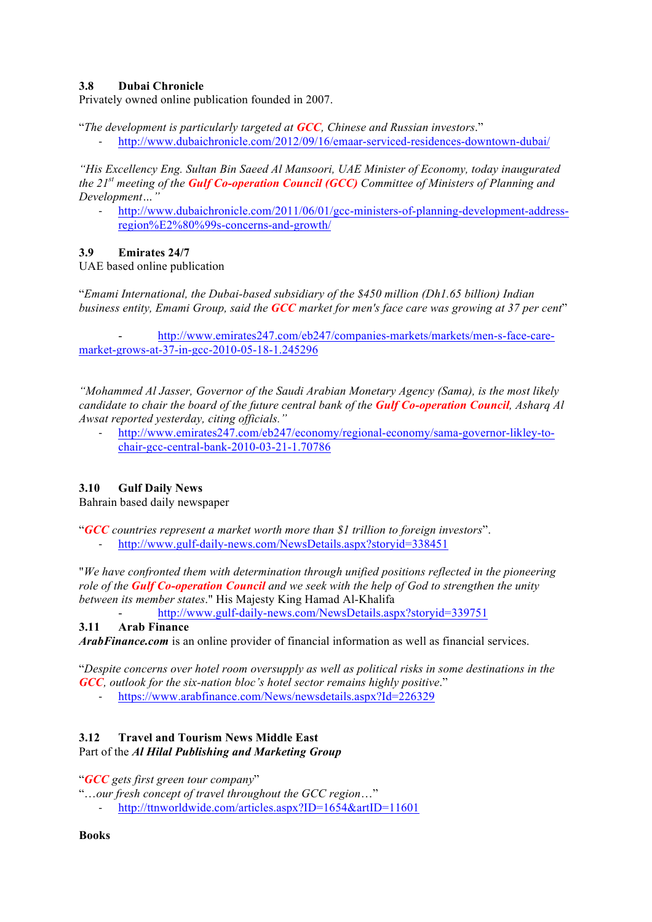## **3.8 Dubai Chronicle**

Privately owned online publication founded in 2007.

"*The development is particularly targeted at GCC, Chinese and Russian investors*."

http://www.dubaichronicle.com/2012/09/16/emaar-serviced-residences-downtown-dubai/

*"His Excellency Eng. Sultan Bin Saeed Al Mansoori, UAE Minister of Economy, today inaugurated the 21st meeting of the Gulf Co-operation Council (GCC) Committee of Ministers of Planning and Development…"*

http://www.dubaichronicle.com/2011/06/01/gcc-ministers-of-planning-development-addressregion%E2%80%99s-concerns-and-growth/

#### **3.9 Emirates 24/7**

UAE based online publication

"*Emami International, the Dubai-based subsidiary of the \$450 million (Dh1.65 billion) Indian business entity, Emami Group, said the GCC market for men's face care was growing at 37 per cent*"

- http://www.emirates247.com/eb247/companies-markets/markets/men-s-face-caremarket-grows-at-37-in-gcc-2010-05-18-1.245296

*"Mohammed Al Jasser, Governor of the Saudi Arabian Monetary Agency (Sama), is the most likely candidate to chair the board of the future central bank of the Gulf Co-operation Council, Asharq Al Awsat reported yesterday, citing officials."*

- http://www.emirates247.com/eb247/economy/regional-economy/sama-governor-likley-tochair-gcc-central-bank-2010-03-21-1.70786

#### **3.10 Gulf Daily News**

Bahrain based daily newspaper

"*GCC countries represent a market worth more than \$1 trillion to foreign investors*".

- http://www.gulf-daily-news.com/NewsDetails.aspx?storyid=338451

"*We have confronted them with determination through unified positions reflected in the pioneering role of the Gulf Co-operation Council and we seek with the help of God to strengthen the unity between its member states*." His Majesty King Hamad Al-Khalifa

- http://www.gulf-daily-news.com/NewsDetails.aspx?storyid=339751

#### **3.11 Arab Finance**

*ArabFinance.com* is an online provider of financial information as well as financial services.

"*Despite concerns over hotel room oversupply as well as political risks in some destinations in the GCC, outlook for the six-nation bloc's hotel sector remains highly positive*."

- https://www.arabfinance.com/News/newsdetails.aspx?Id=226329

# **3.12 Travel and Tourism News Middle East**

#### Part of the *Al Hilal Publishing and Marketing Group*

"*GCC gets first green tour company*"

"…*our fresh concept of travel throughout the GCC region*…"

- http://ttnworldwide.com/articles.aspx?ID=1654&artID=11601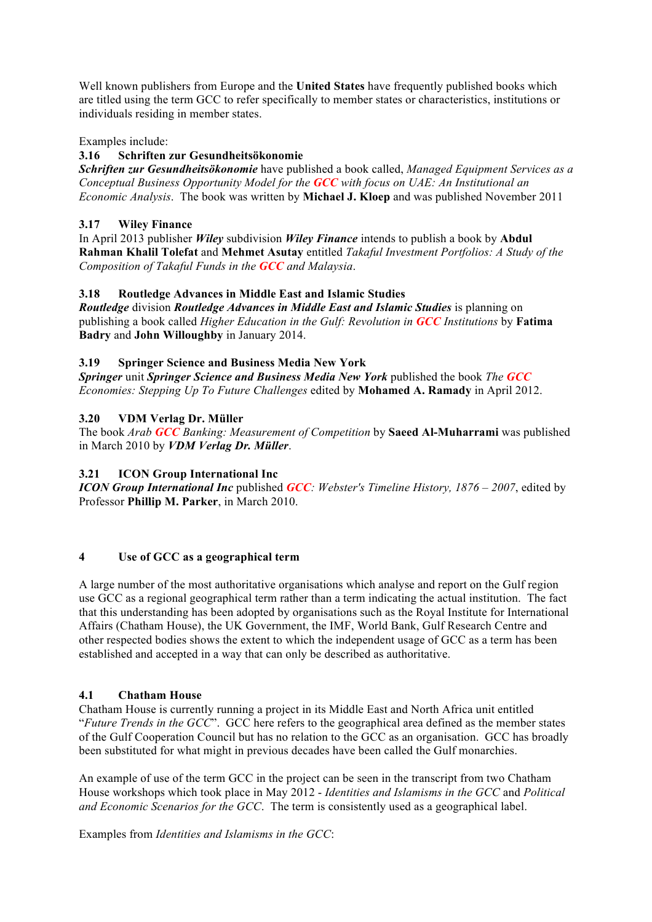Well known publishers from Europe and the **United States** have frequently published books which are titled using the term GCC to refer specifically to member states or characteristics, institutions or individuals residing in member states.

#### Examples include:

#### **3.16 Schriften zur Gesundheitsökonomie**

*Schriften zur Gesundheitsökonomie* have published a book called, *Managed Equipment Services as a Conceptual Business Opportunity Model for the GCC with focus on UAE: An Institutional an Economic Analysis*. The book was written by **Michael J. Kloep** and was published November 2011

#### **3.17 Wiley Finance**

In April 2013 publisher *Wiley* subdivision *Wiley Finance* intends to publish a book by **Abdul Rahman Khalil Tolefat** and **Mehmet Asutay** entitled *Takaful Investment Portfolios: A Study of the Composition of Takaful Funds in the GCC and Malaysia*.

#### **3.18 Routledge Advances in Middle East and Islamic Studies**

*Routledge* division *Routledge Advances in Middle East and Islamic Studies* is planning on publishing a book called *Higher Education in the Gulf: Revolution in GCC Institutions* by **Fatima Badry** and **John Willoughby** in January 2014.

#### **3.19 Springer Science and Business Media New York**

*Springer* unit *Springer Science and Business Media New York* published the book *The GCC Economies: Stepping Up To Future Challenges* edited by **Mohamed A. Ramady** in April 2012.

#### **3.20 VDM Verlag Dr. Müller**

The book *Arab GCC Banking: Measurement of Competition* by **Saeed Al-Muharrami** was published in March 2010 by *VDM Verlag Dr. Müller*.

#### **3.21 ICON Group International Inc**

*ICON Group International Inc* published *GCC: Webster's Timeline History, 1876 – 2007*, edited by Professor **Phillip M. Parker**, in March 2010.

#### **4 Use of GCC as a geographical term**

A large number of the most authoritative organisations which analyse and report on the Gulf region use GCC as a regional geographical term rather than a term indicating the actual institution. The fact that this understanding has been adopted by organisations such as the Royal Institute for International Affairs (Chatham House), the UK Government, the IMF, World Bank, Gulf Research Centre and other respected bodies shows the extent to which the independent usage of GCC as a term has been established and accepted in a way that can only be described as authoritative.

#### **4.1 Chatham House**

Chatham House is currently running a project in its Middle East and North Africa unit entitled "*Future Trends in the GCC*". GCC here refers to the geographical area defined as the member states of the Gulf Cooperation Council but has no relation to the GCC as an organisation. GCC has broadly been substituted for what might in previous decades have been called the Gulf monarchies.

An example of use of the term GCC in the project can be seen in the transcript from two Chatham House workshops which took place in May 2012 - *Identities and Islamisms in the GCC* and *Political and Economic Scenarios for the GCC*. The term is consistently used as a geographical label.

Examples from *Identities and Islamisms in the GCC*: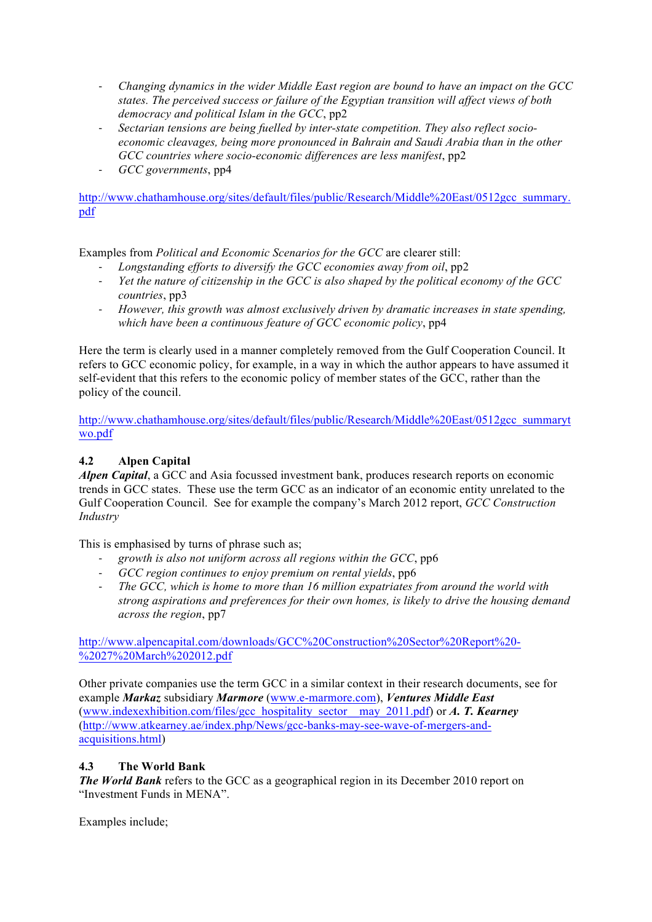- *Changing dynamics in the wider Middle East region are bound to have an impact on the GCC states. The perceived success or failure of the Egyptian transition will affect views of both democracy and political Islam in the GCC*, pp2
- *Sectarian tensions are being fuelled by inter-state competition. They also reflect socioeconomic cleavages, being more pronounced in Bahrain and Saudi Arabia than in the other GCC countries where socio-economic differences are less manifest*, pp2
- *GCC governments*, pp4

http://www.chathamhouse.org/sites/default/files/public/Research/Middle%20East/0512gcc\_summary. pdf

Examples from *Political and Economic Scenarios for the GCC* are clearer still:

- *Longstanding efforts to diversify the GCC economies away from oil*, pp2
- *Yet the nature of citizenship in the GCC is also shaped by the political economy of the GCC countries*, pp3
- *However, this growth was almost exclusively driven by dramatic increases in state spending, which have been a continuous feature of GCC economic policy*, pp4

Here the term is clearly used in a manner completely removed from the Gulf Cooperation Council. It refers to GCC economic policy, for example, in a way in which the author appears to have assumed it self-evident that this refers to the economic policy of member states of the GCC, rather than the policy of the council.

http://www.chathamhouse.org/sites/default/files/public/Research/Middle%20East/0512gcc\_summaryt wo.pdf

# **4.2 Alpen Capital**

*Alpen Capital*, a GCC and Asia focussed investment bank, produces research reports on economic trends in GCC states. These use the term GCC as an indicator of an economic entity unrelated to the Gulf Cooperation Council. See for example the company's March 2012 report, *GCC Construction Industry*

This is emphasised by turns of phrase such as;

- *growth is also not uniform across all regions within the GCC*, pp6
- *GCC region continues to enjoy premium on rental yields*, pp6
- *The GCC, which is home to more than 16 million expatriates from around the world with strong aspirations and preferences for their own homes, is likely to drive the housing demand across the region*, pp7

http://www.alpencapital.com/downloads/GCC%20Construction%20Sector%20Report%20- %2027%20March%202012.pdf

Other private companies use the term GCC in a similar context in their research documents, see for example *Markaz* subsidiary *Marmore* (www.e-marmore.com), *Ventures Middle East* (www.indexexhibition.com/files/gcc\_hospitality\_sector\_\_may\_2011.pdf) or *A. T. Kearney* (http://www.atkearney.ae/index.php/News/gcc-banks-may-see-wave-of-mergers-andacquisitions.html)

#### **4.3 The World Bank**

*The World Bank* refers to the GCC as a geographical region in its December 2010 report on "Investment Funds in MENA".

Examples include;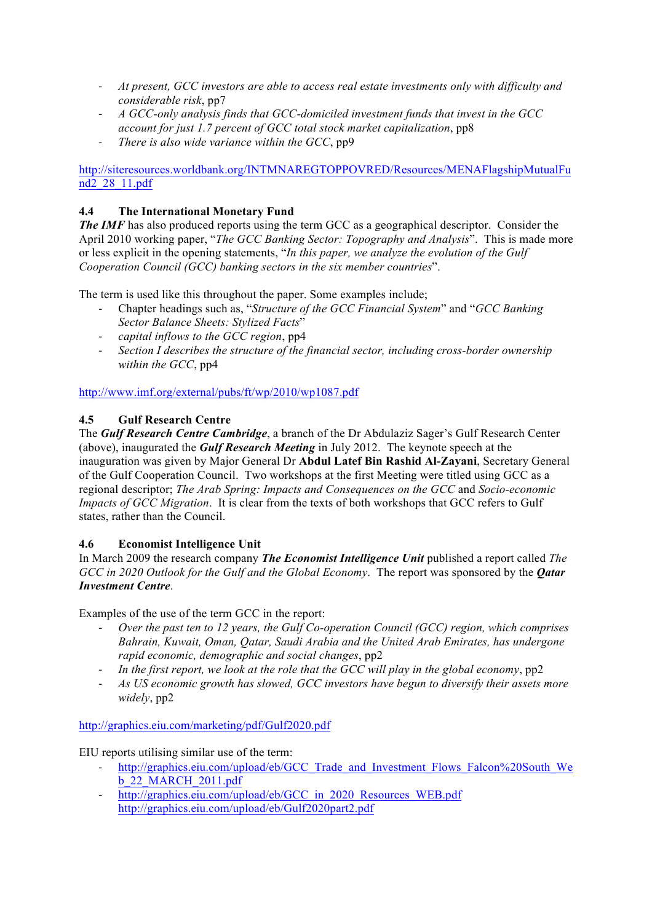- *At present, GCC investors are able to access real estate investments only with difficulty and considerable risk*, pp7
- *A GCC-only analysis finds that GCC-domiciled investment funds that invest in the GCC account for just 1.7 percent of GCC total stock market capitalization*, pp8
- *There is also wide variance within the GCC*, pp9

http://siteresources.worldbank.org/INTMNAREGTOPPOVRED/Resources/MENAFlagshipMutualFu nd2\_28\_11.pdf

## **4.4 The International Monetary Fund**

*The IMF* has also produced reports using the term GCC as a geographical descriptor. Consider the April 2010 working paper, "*The GCC Banking Sector: Topography and Analysis*". This is made more or less explicit in the opening statements, "*In this paper, we analyze the evolution of the Gulf Cooperation Council (GCC) banking sectors in the six member countries*".

The term is used like this throughout the paper. Some examples include;

- Chapter headings such as, "*Structure of the GCC Financial System*" and "*GCC Banking Sector Balance Sheets: Stylized Facts*"
- *capital inflows to the GCC region*, pp4
- *Section I describes the structure of the financial sector, including cross-border ownership within the GCC*, pp4

http://www.imf.org/external/pubs/ft/wp/2010/wp1087.pdf

#### **4.5 Gulf Research Centre**

The *Gulf Research Centre Cambridge*, a branch of the Dr Abdulaziz Sager's Gulf Research Center (above), inaugurated the *Gulf Research Meeting* in July 2012. The keynote speech at the inauguration was given by Major General Dr **Abdul Latef Bin Rashid Al-Zayani**, Secretary General of the Gulf Cooperation Council. Two workshops at the first Meeting were titled using GCC as a regional descriptor; *The Arab Spring: Impacts and Consequences on the GCC* and *Socio-economic Impacts of GCC Migration*. It is clear from the texts of both workshops that GCC refers to Gulf states, rather than the Council.

#### **4.6 Economist Intelligence Unit**

In March 2009 the research company *The Economist Intelligence Unit* published a report called *The GCC in 2020 Outlook for the Gulf and the Global Economy*. The report was sponsored by the *Qatar Investment Centre*.

Examples of the use of the term GCC in the report:

- *Over the past ten to 12 years, the Gulf Co-operation Council (GCC) region, which comprises Bahrain, Kuwait, Oman, Qatar, Saudi Arabia and the United Arab Emirates, has undergone rapid economic, demographic and social changes*, pp2
- *In the first report, we look at the role that the GCC will play in the global economy*, pp2
- *As US economic growth has slowed, GCC investors have begun to diversify their assets more widely*, pp2

http://graphics.eiu.com/marketing/pdf/Gulf2020.pdf

EIU reports utilising similar use of the term:

- http://graphics.eiu.com/upload/eb/GCC\_Trade\_and\_Investment\_Flows\_Falcon%20South\_We b\_22\_MARCH\_2011.pdf
- http://graphics.eiu.com/upload/eb/GCC\_in\_2020\_Resources\_WEB.pdf http://graphics.eiu.com/upload/eb/Gulf2020part2.pdf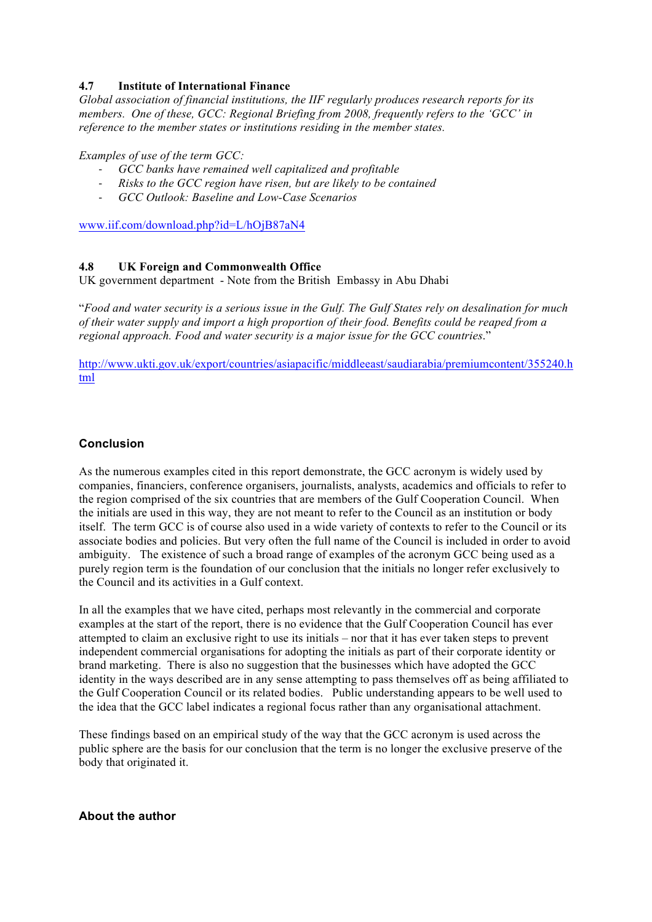#### **4.7 Institute of International Finance**

*Global association of financial institutions, the IIF regularly produces research reports for its members. One of these, GCC: Regional Briefing from 2008, frequently refers to the 'GCC' in reference to the member states or institutions residing in the member states.*

*Examples of use of the term GCC:*

- *GCC banks have remained well capitalized and profitable*
- *Risks to the GCC region have risen, but are likely to be contained*
- *GCC Outlook: Baseline and Low-Case Scenarios*

www.iif.com/download.php?id=L/hOjB87aN4

#### **4.8 UK Foreign and Commonwealth Office**

UK government department - Note from the British Embassy in Abu Dhabi

"*Food and water security is a serious issue in the Gulf. The Gulf States rely on desalination for much of their water supply and import a high proportion of their food. Benefits could be reaped from a regional approach. Food and water security is a major issue for the GCC countries*."

http://www.ukti.gov.uk/export/countries/asiapacific/middleeast/saudiarabia/premiumcontent/355240.h tml

#### **Conclusion**

As the numerous examples cited in this report demonstrate, the GCC acronym is widely used by companies, financiers, conference organisers, journalists, analysts, academics and officials to refer to the region comprised of the six countries that are members of the Gulf Cooperation Council. When the initials are used in this way, they are not meant to refer to the Council as an institution or body itself. The term GCC is of course also used in a wide variety of contexts to refer to the Council or its associate bodies and policies. But very often the full name of the Council is included in order to avoid ambiguity. The existence of such a broad range of examples of the acronym GCC being used as a purely region term is the foundation of our conclusion that the initials no longer refer exclusively to the Council and its activities in a Gulf context.

In all the examples that we have cited, perhaps most relevantly in the commercial and corporate examples at the start of the report, there is no evidence that the Gulf Cooperation Council has ever attempted to claim an exclusive right to use its initials – nor that it has ever taken steps to prevent independent commercial organisations for adopting the initials as part of their corporate identity or brand marketing. There is also no suggestion that the businesses which have adopted the GCC identity in the ways described are in any sense attempting to pass themselves off as being affiliated to the Gulf Cooperation Council or its related bodies. Public understanding appears to be well used to the idea that the GCC label indicates a regional focus rather than any organisational attachment.

These findings based on an empirical study of the way that the GCC acronym is used across the public sphere are the basis for our conclusion that the term is no longer the exclusive preserve of the body that originated it.

#### **About the author**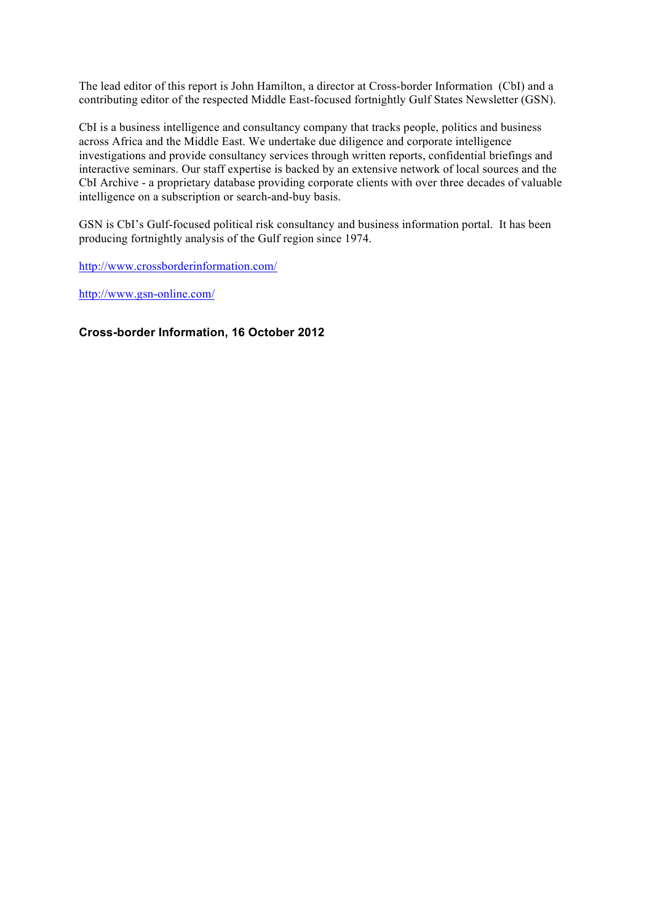The lead editor of this report is John Hamilton, a director at Cross-border Information (CbI) and a contributing editor of the respected Middle East-focused fortnightly Gulf States Newsletter (GSN).

CbI is a business intelligence and consultancy company that tracks people, politics and business across Africa and the Middle East. We undertake due diligence and corporate intelligence investigations and provide consultancy services through written reports, confidential briefings and interactive seminars. Our staff expertise is backed by an extensive network of local sources and the CbI Archive - a proprietary database providing corporate clients with over three decades of valuable intelligence on a subscription or search-and-buy basis.

GSN is CbI's Gulf-focused political risk consultancy and business information portal. It has been producing fortnightly analysis of the Gulf region since 1974.

http://www.crossborderinformation.com/

http://www.gsn-online.com/

#### **Cross-border Information, 16 October 2012**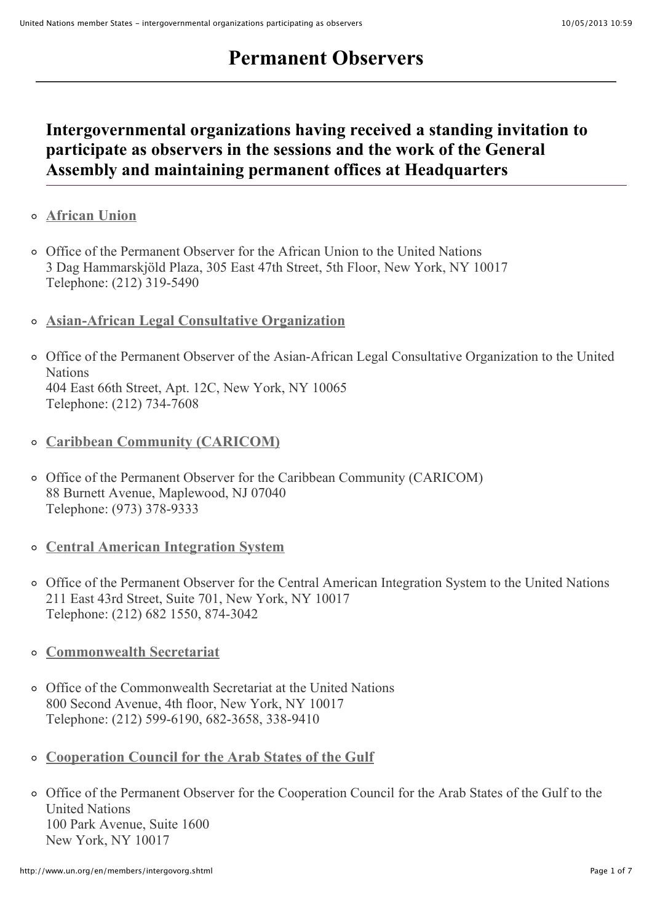# **Permanent Observers**

# **Intergovernmental organizations having received a standing invitation to participate as observers in the sessions and the work of the General Assembly and maintaining permanent offices at Headquarters**

- **[African Union](http://www.au.int/en/)**
- Office of the Permanent Observer for the African Union to the United Nations 3 Dag Hammarskjöld Plaza, 305 East 47th Street, 5th Floor, New York, NY 10017 Telephone: (212) 319-5490
- **[Asian-African Legal Consultative Organization](http://www.aalco.int/)**
- Office of the Permanent Observer of the Asian-African Legal Consultative Organization to the United **Nations** 404 East 66th Street, Apt. 12C, New York, NY 10065 Telephone: (212) 734-7608
- **[Caribbean Community \(CARICOM\)](http://www.caricom.org/)**
- Office of the Permanent Observer for the Caribbean Community (CARICOM) 88 Burnett Avenue, Maplewood, NJ 07040 Telephone: (973) 378-9333
- **[Central American Integration System](http://www.sica.int/)**
- Office of the Permanent Observer for the Central American Integration System to the United Nations 211 East 43rd Street, Suite 701, New York, NY 10017 Telephone: (212) 682 1550, 874-3042
- **[Commonwealth Secretariat](http://www.thecommonwealth.org/)**
- Office of the Commonwealth Secretariat at the United Nations 800 Second Avenue, 4th floor, New York, NY 10017 Telephone: (212) 599-6190, 682-3658, 338-9410
- **[Cooperation Council for the Arab States of the Gulf](http://www.gcc-sg.org/eng/)**
- Office of the Permanent Observer for the Cooperation Council for the Arab States of the Gulf to the United Nations 100 Park Avenue, Suite 1600 New York, NY 10017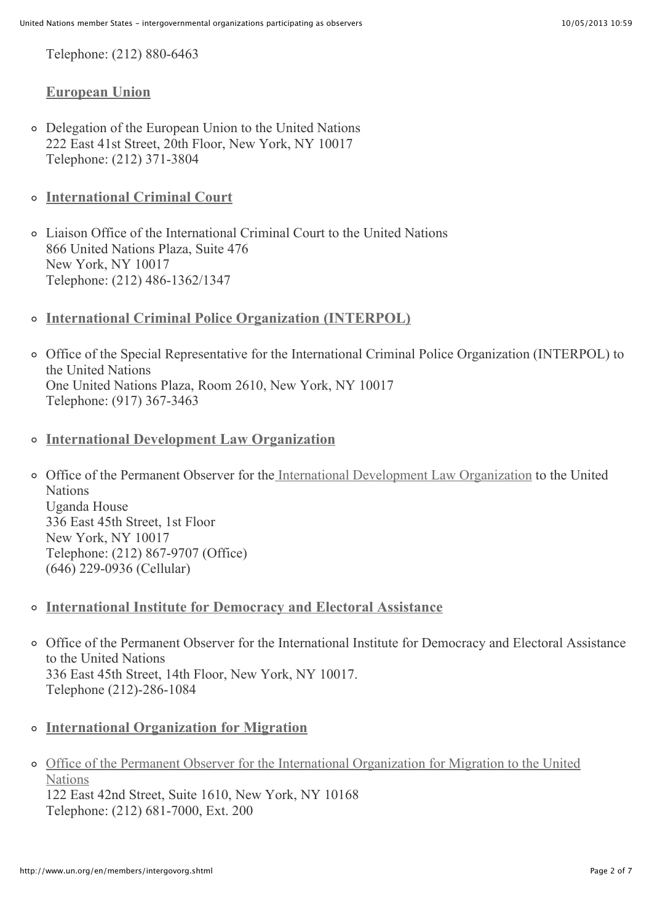Telephone: (212) 880-6463

#### **[European Union](http://www.eu-un.europa.eu/)**

- Delegation of the European Union to the United Nations 222 East 41st Street, 20th Floor, New York, NY 10017 Telephone: (212) 371-3804
- **[International Criminal Court](http://www.icc-cpi.int/)**
- Liaison Office of the International Criminal Court to the United Nations 866 United Nations Plaza, Suite 476 New York, NY 10017 Telephone: (212) 486-1362/1347
- **[International Criminal Police Organization \(INTERPOL\)](http://www.interpol.int/)**
- Office of the Special Representative for the International Criminal Police Organization (INTERPOL) to the United Nations One United Nations Plaza, Room 2610, New York, NY 10017 Telephone: (917) 367-3463
- **[International Development Law Organization](http://www.idlo.int/)**
- Office of the Permanent Observer for the [International Development Law Organization](http://www.idlo.int/) to the United **Nations** Uganda House 336 East 45th Street, 1st Floor New York, NY 10017 Telephone: (212) 867-9707 (Office) (646) 229-0936 (Cellular)
- **[International Institute for Democracy and Electoral Assistance](http://www.idea.int/)**
- Office of the Permanent Observer for the International Institute for Democracy and Electoral Assistance to the United Nations 336 East 45th Street, 14th Floor, New York, NY 10017. Telephone (212)-286-1084
- **[International Organization for Migration](http://www.iom.int/)**
- [Office of the Permanent Observer for the International Organization for Migration to the United](http://unobserver.iom.int/) **Nations** 122 East 42nd Street, Suite 1610, New York, NY 10168 Telephone: (212) 681-7000, Ext. 200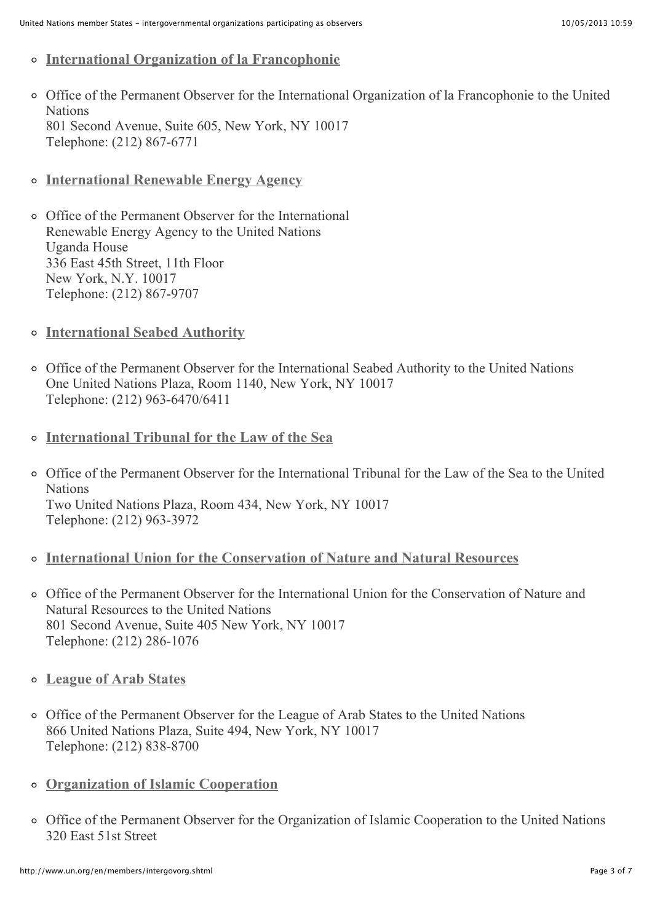- **[International Organization of la Francophonie](http://www.francophonie.org/)**
- Office of the Permanent Observer for the International Organization of la Francophonie to the United **Nations** 801 Second Avenue, Suite 605, New York, NY 10017 Telephone: (212) 867-6771
- **[International Renewable Energy Agency](http://www.irena.org/)**

Office of the Permanent Observer for the International Renewable Energy Agency to the United Nations Uganda House 336 East 45th Street, 11th Floor New York, N.Y. 10017 Telephone: (212) 867-9707

- **[International Seabed Authority](http://www.isa.org.jm/)**
- Office of the Permanent Observer for the International Seabed Authority to the United Nations One United Nations Plaza, Room 1140, New York, NY 10017 Telephone: (212) 963-6470/6411
- **[International Tribunal for the Law of the Sea](http://www.itlos.org/)**
- Office of the Permanent Observer for the International Tribunal for the Law of the Sea to the United **Nations** Two United Nations Plaza, Room 434, New York, NY 10017 Telephone: (212) 963-3972
- **[International Union for the Conservation of Nature and Natural Resources](http://www.iucn.org/)**
- Office of the Permanent Observer for the International Union for the Conservation of Nature and Natural Resources to the United Nations 801 Second Avenue, Suite 405 New York, NY 10017 Telephone: (212) 286-1076
- **[League of Arab States](http://www.lasportal.org/)**
- Office of the Permanent Observer for the League of Arab States to the United Nations 866 United Nations Plaza, Suite 494, New York, NY 10017 Telephone: (212) 838-8700
- **[Organization of Islamic Cooperation](http://www.oicun.org/)**
- Office of the Permanent Observer for the Organization of Islamic Cooperation to the United Nations 320 East 51st Street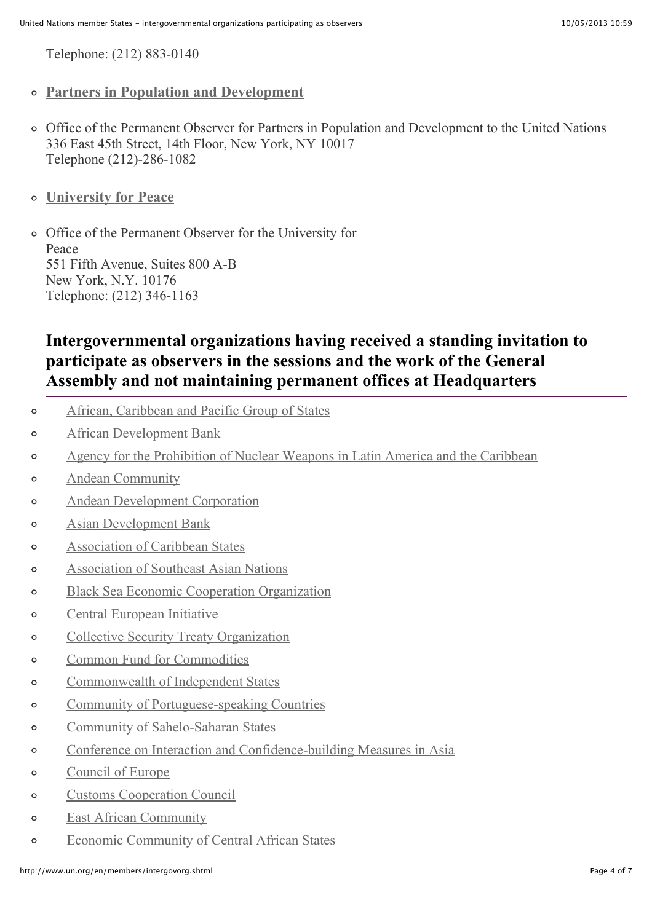Telephone: (212) 883-0140

- **[Partners in Population and Development](http://www.partners-popdev.org/)**
- Office of the Permanent Observer for Partners in Population and Development to the United Nations 336 East 45th Street, 14th Floor, New York, NY 10017 Telephone (212)-286-1082
- **[University for Peace](http://www.upeace.org/)**

Office of the Permanent Observer for the University for Peace 551 Fifth Avenue, Suites 800 A-B New York, N.Y. 10176 Telephone: (212) 346-1163

# **Intergovernmental organizations having received a standing invitation to participate as observers in the sessions and the work of the General Assembly and not maintaining permanent offices at Headquarters**

- [African, Caribbean and Pacific Group of States](http://www.acp.int/)  $\circ$
- [African Development Bank](http://www.afdb.org/en/)  $\Omega$
- [Agency for the Prohibition of Nuclear Weapons in Latin America and the Caribbean](http://www.opanal.org/index-i.html)  $\Omega$
- [Andean Community](http://www.comunidadandina.org/endex.htm)  $\Omega$
- [Andean Development Corporation](http://www.caf.com/)  $\circ$
- [Asian Development Bank](http://www.adb.org/)  $\circ$
- [Association of Caribbean States](http://www.acs-aec.org/)  $\circ$
- [Association of Southeast Asian Nations](http://www.aseansec.org/)  $\circ$
- [Black Sea Economic Cooperation Organization](http://www.bsec-organization.org/Pages/homepage.aspx)  $\circ$
- [Central European Initiative](http://www.cei.int/)  $\circ$
- [Collective Security Treaty Organization](http://www.dkb.gov.ru/)  $\circ$
- [Common Fund for Commodities](http://www.common-fund.org/)  $\Omega$
- [Commonwealth of Independent States](http://www.cis.minsk.by/)  $\circ$
- [Community of Portuguese-speaking Countries](http://www.cplp.org/Default.aspx)  $\Omega$
- [Community of Sahelo-Saharan States](http://www.au.int/en/recs/censad)  $\Omega$
- [Conference on Interaction and Confidence-building Measures in Asia](http://www.s-cica.org/page.php?lang=1)  $\circ$
- [Council of Europe](http://www.coe.int/)  $\circ$
- [Customs Cooperation Council](http://www.wcoomd.org/en.aspx)  $\circ$
- [East African Community](http://www.eac.int/)  $\Omega$
- [Economic Community of Central African States](http://www.ceeac-eccas.org/) $\Omega$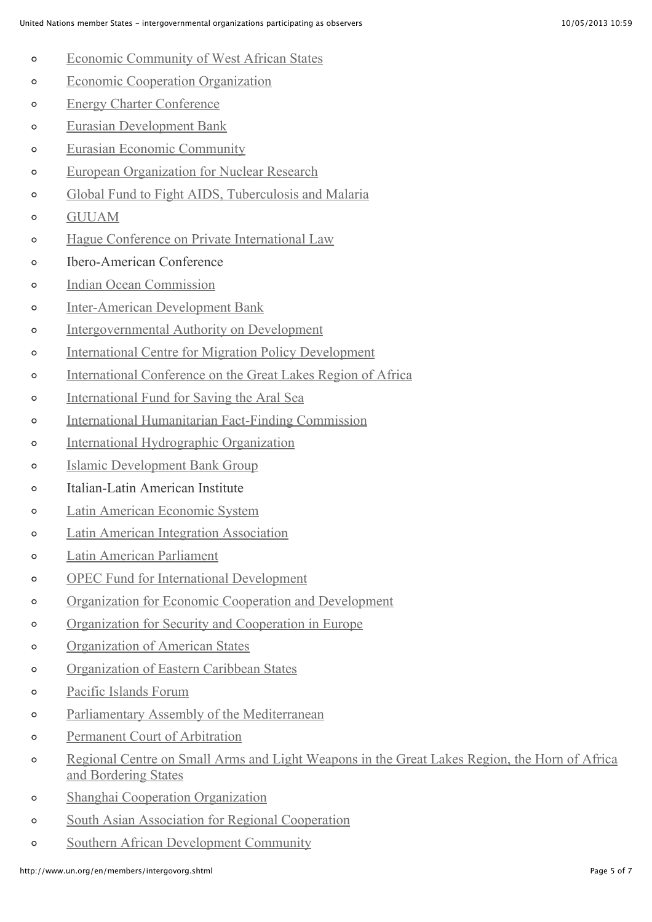- [Economic Community of West African States](http://www.ecowas.int/)  $\Omega$
- [Economic Cooperation Organization](http://www.ecosecretariat.org/)  $\circ$
- [Energy Charter Conference](http://www.encharter.org/)  $\circ$
- [Eurasian Development Bank](http://eabr.org/e/)  $\circ$
- [Eurasian Economic Community](http://www.evrazes.com/en/about/)  $\circ$
- [European Organization for Nuclear Research](http://home.web.cern.ch/)  $\circ$
- [Global Fund to Fight AIDS, Tuberculosis and Malaria](http://www.theglobalfund.org/en/)  $\circ$
- [GUUAM](http://www.guuam.org/)  $\circ$
- [Hague Conference on Private International Law](http://www.hcch.net/index_en.php)  $\circ$
- $\circ$ Ibero-American Conference
- [Indian Ocean Commission](http://www.coi-ioc.org/)  $\circ$
- [Inter-American Development Bank](http://www.iadb.org/)  $\circ$
- [Intergovernmental Authority on Development](http://igad.int/)  $\circ$
- [International Centre for Migration Policy Development](http://www.icmpd.org/)  $\circ$
- [International Conference on the Great Lakes Region of Africa](https://icglr.org/index.php)  $\Omega$
- [International Fund for Saving the Aral Sea](http://www.ec-ifas.org/)  $\Omega$
- [International Humanitarian Fact-Finding Commission](http://www.ihffc.org/)  $\Omega$
- [International Hydrographic Organization](http://www.iho.int/srv1/)  $\circ$
- [Islamic Development Bank Group](http://www.isdb.org/irj/portal/anonymous)  $\circ$
- Italian-Latin American Institute  $\circ$
- [Latin American Economic System](http://www.sela.org/view/index.asp?ms=258&pageMs=26461)  $\circ$
- [Latin American Integration Association](http://www.aladi.org/nsfweb/sitioIng/)  $\circ$
- [Latin American Parliament](http://www.parlatino.org/web/)  $\circ$
- [OPEC Fund for International Development](http://www.ofid.org/)  $\circ$
- [Organization for Economic Cooperation and Development](http://www.oecd.org/home/0,2987,en_2649_201185_1_1_1_1_1,00.html)  $\circ$
- [Organization for Security and Cooperation in Europe](http://www.osce.org/)  $\circ$
- [Organization of American States](http://www.oas.org/)  $\circ$
- [Organization of Eastern Caribbean States](http://www.oecs.org/)  $\Omega$
- [Pacific Islands Forum](http://www.forumsec.org.fj/)  $\circ$
- [Parliamentary Assembly of the Mediterranean](http://www.apm.org.mt/)  $\circ$
- [Permanent Court of Arbitration](http://www.pca-cpa.org/)  $\circ$
- [Regional Centre on Small Arms and Light Weapons in the Great Lakes Region, the Horn of Africa](http://www.recsasec.org/)  $\circ$ and Bordering States
- [Shanghai Cooperation Organization](http://www.sectsco.org/)  $\circ$
- [South Asian Association for Regional Cooperation](http://www.saarc-sec.org/)  $\circ$
- $\circ$ [Southern African Development Community](http://www.sadc.int/)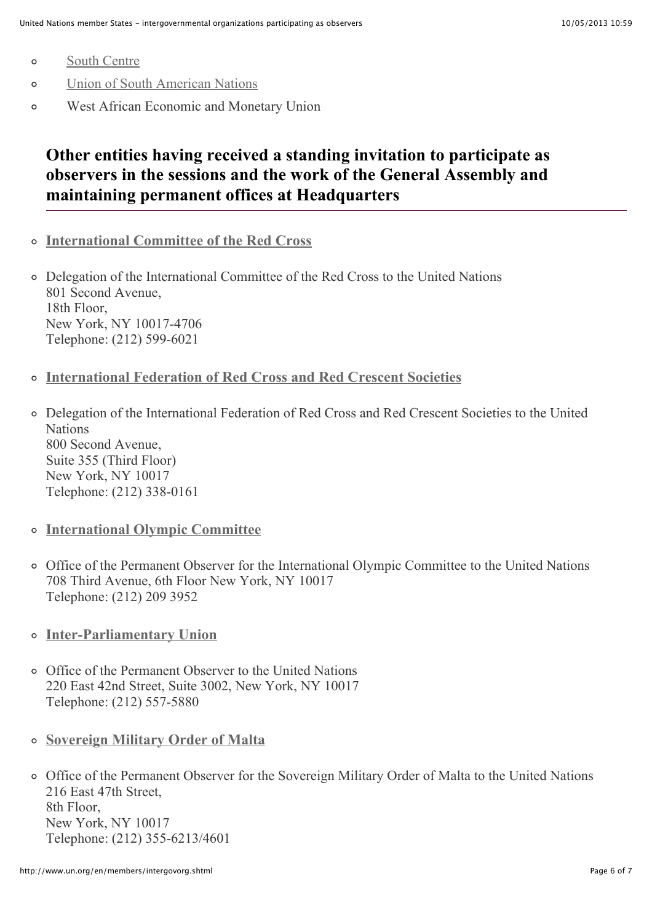- [South Centre](http://www.southcentre.org/)  $\circ$
- [Union of South American Nations](http://www.unasursg.org/)  $\circ$
- West African Economic and Monetary Union  $\Omega$

# **Other entities having received a standing invitation to participate as observers in the sessions and the work of the General Assembly and maintaining permanent offices at Headquarters**

**[International Committee of the Red Cross](http://www.icrc.org/)**

Delegation of the International Committee of the Red Cross to the United Nations 801 Second Avenue, 18th Floor, New York, NY 10017-4706 Telephone: (212) 599-6021

- **[International Federation of Red Cross and Red Crescent Societies](http://www.ifrc.org/)**
- Delegation of the International Federation of Red Cross and Red Crescent Societies to the United **Nations** 800 Second Avenue, Suite 355 (Third Floor) New York, NY 10017 Telephone: (212) 338-0161
- **[International Olympic Committee](http://www.olympic.org/)**
- Office of the Permanent Observer for the International Olympic Committee to the United Nations 708 Third Avenue, 6th Floor New York, NY 10017 Telephone: (212) 209 3952
- **[Inter-Parliamentary Union](http://www.ipu.org/english/home.htm)**
- Office of the Permanent Observer to the United Nations 220 East 42nd Street, Suite 3002, New York, NY 10017 Telephone: (212) 557-5880
- **[Sovereign Military Order of Malta](http://www.orderofmalta.org/english)**
- Office of the Permanent Observer for the Sovereign Military Order of Malta to the United Nations 216 East 47th Street, 8th Floor, New York, NY 10017 Telephone: (212) 355-6213/4601